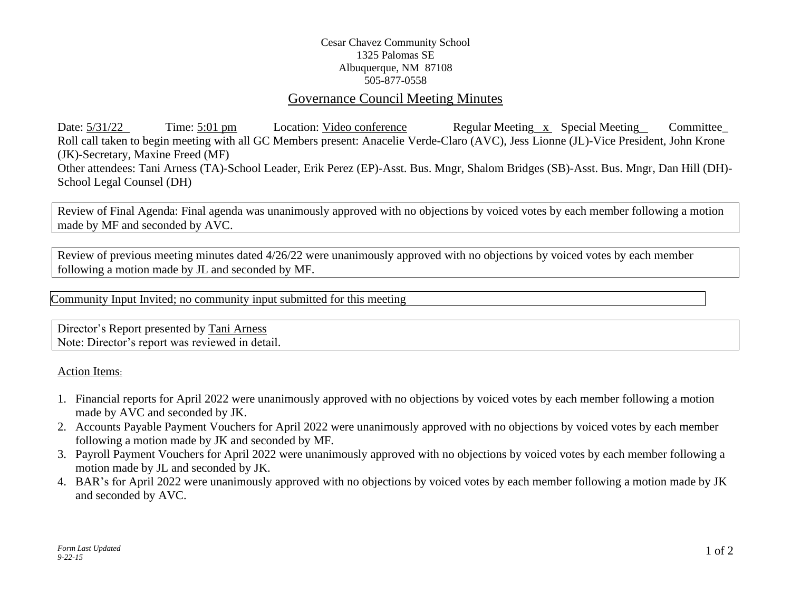## Cesar Chavez Community School 1325 Palomas SE Albuquerque, NM 87108 505-877-0558

# Governance Council Meeting Minutes

Date:  $\frac{5}{31/22}$  Time:  $\frac{5:01 \text{ pm}}{2}$  Location: Video conference Regular Meeting x Special Meeting Committee Roll call taken to begin meeting with all GC Members present: Anacelie Verde-Claro (AVC), Jess Lionne (JL)-Vice President, John Krone (JK)-Secretary, Maxine Freed (MF) Other attendees: Tani Arness (TA)-School Leader, Erik Perez (EP)-Asst. Bus. Mngr, Shalom Bridges (SB)-Asst. Bus. Mngr, Dan Hill (DH)- School Legal Counsel (DH)

Review of Final Agenda: Final agenda was unanimously approved with no objections by voiced votes by each member following a motion made by MF and seconded by AVC.

Review of previous meeting minutes dated 4/26/22 were unanimously approved with no objections by voiced votes by each member following a motion made by JL and seconded by MF.

Community Input Invited; no community input submitted for this meeting

Director's Report presented by Tani Arness Note: Director's report was reviewed in detail.

Action Items:

- 1. Financial reports for April 2022 were unanimously approved with no objections by voiced votes by each member following a motion made by AVC and seconded by JK.
- 2. Accounts Payable Payment Vouchers for April 2022 were unanimously approved with no objections by voiced votes by each member following a motion made by JK and seconded by MF.
- 3. Payroll Payment Vouchers for April 2022 were unanimously approved with no objections by voiced votes by each member following a motion made by JL and seconded by JK.
- 4. BAR's for April 2022 were unanimously approved with no objections by voiced votes by each member following a motion made by JK and seconded by AVC.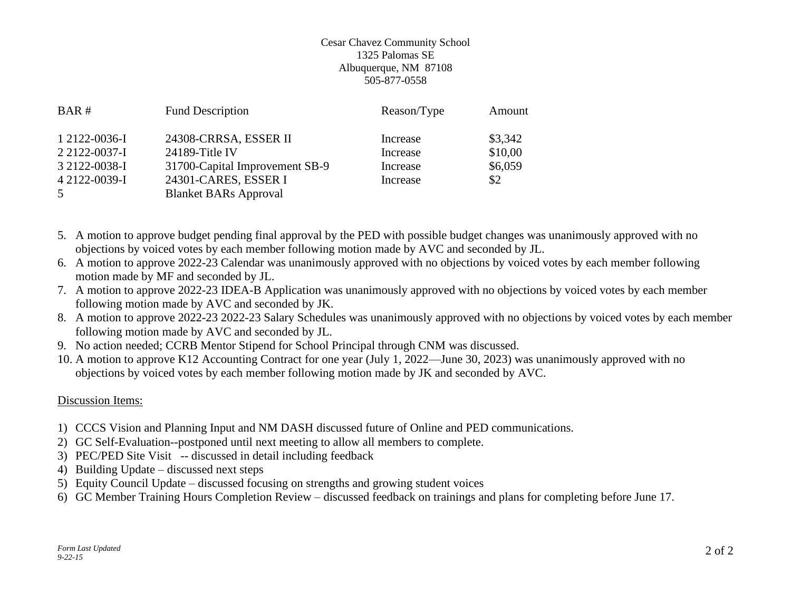### Cesar Chavez Community School 1325 Palomas SE Albuquerque, NM 87108 505-877-0558

| BAR#                           | <b>Fund Description</b>                              | Reason/Type          | Amount             |
|--------------------------------|------------------------------------------------------|----------------------|--------------------|
| 1 2122-0036-I<br>2 2122-0037-I | 24308-CRRSA, ESSER II<br>24189-Title IV              | Increase<br>Increase | \$3,342<br>\$10,00 |
| 3 2122-0038-I                  | 31700-Capital Improvement SB-9                       | Increase             | \$6,059            |
| 4 2122-0039-I<br>5             | 24301-CARES, ESSER I<br><b>Blanket BARs Approval</b> | Increase             | \$2                |

- 5. A motion to approve budget pending final approval by the PED with possible budget changes was unanimously approved with no objections by voiced votes by each member following motion made by AVC and seconded by JL.
- 6. A motion to approve 2022-23 Calendar was unanimously approved with no objections by voiced votes by each member following motion made by MF and seconded by JL.
- 7. A motion to approve 2022-23 IDEA-B Application was unanimously approved with no objections by voiced votes by each member following motion made by AVC and seconded by JK.
- 8. A motion to approve 2022-23 2022-23 Salary Schedules was unanimously approved with no objections by voiced votes by each member following motion made by AVC and seconded by JL.
- 9. No action needed; CCRB Mentor Stipend for School Principal through CNM was discussed.
- 10. A motion to approve K12 Accounting Contract for one year (July 1, 2022—June 30, 2023) was unanimously approved with no objections by voiced votes by each member following motion made by JK and seconded by AVC.

## Discussion Items:

- 1) CCCS Vision and Planning Input and NM DASH discussed future of Online and PED communications.
- 2) GC Self-Evaluation--postponed until next meeting to allow all members to complete.
- 3) PEC/PED Site Visit -- discussed in detail including feedback
- 4) Building Update discussed next steps
- 5) Equity Council Update discussed focusing on strengths and growing student voices
- 6) GC Member Training Hours Completion Review discussed feedback on trainings and plans for completing before June 17.